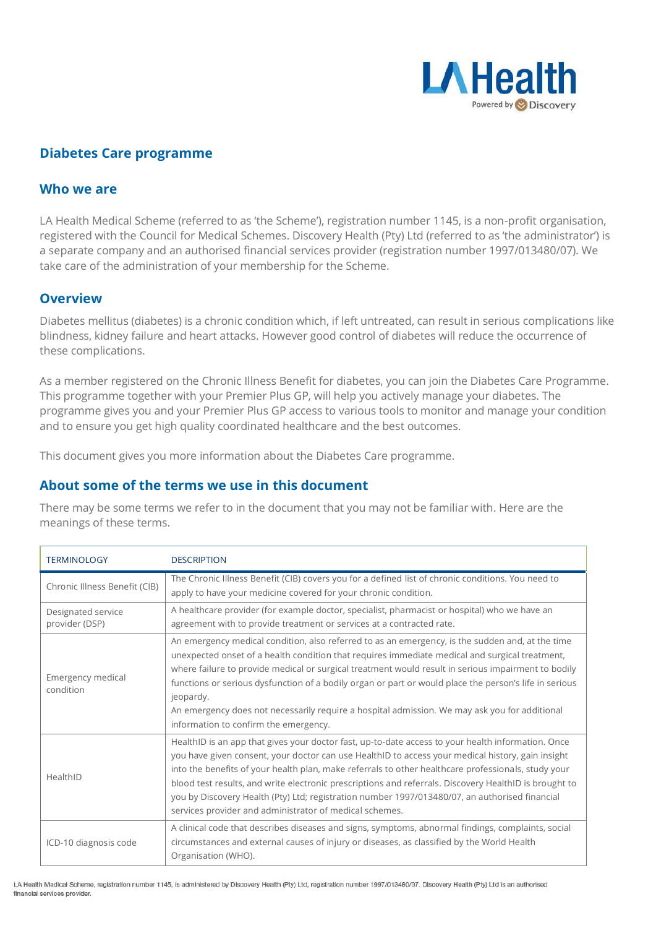

# **Diabetes Care programme**

### **Who we are**

LA Health Medical Scheme (referred to as 'the Scheme'), registration number 1145, is a non-profit organisation, registered with the Council for Medical Schemes. Discovery Health (Pty) Ltd (referred to as 'the administrator') is a separate company and an authorised financial services provider (registration number 1997/013480/07). We take care of the administration of your membership for the Scheme.

#### **Overview**

Diabetes mellitus (diabetes) is a chronic condition which, if left untreated, can result in serious complications like blindness, kidney failure and heart attacks. However good control of diabetes will reduce the occurrence of these complications.

As a member registered on the Chronic Illness Benefit for diabetes, you can join the Diabetes Care Programme. This programme together with your Premier Plus GP, will help you actively manage your diabetes. The programme gives you and your Premier Plus GP access to various tools to monitor and manage your condition and to ensure you get high quality coordinated healthcare and the best outcomes.

This document gives you more information about the Diabetes Care programme.

### **About some of the terms we use in this document**

There may be some terms we refer to in the document that you may not be familiar with. Here are the meanings of these terms.

| <b>TERMINOLOGY</b>                   | <b>DESCRIPTION</b>                                                                                                                                                                                                                                                                                                                                                                                                                                                                                                                                                                    |
|--------------------------------------|---------------------------------------------------------------------------------------------------------------------------------------------------------------------------------------------------------------------------------------------------------------------------------------------------------------------------------------------------------------------------------------------------------------------------------------------------------------------------------------------------------------------------------------------------------------------------------------|
| Chronic Illness Benefit (CIB)        | The Chronic Illness Benefit (CIB) covers you for a defined list of chronic conditions. You need to<br>apply to have your medicine covered for your chronic condition.                                                                                                                                                                                                                                                                                                                                                                                                                 |
| Designated service<br>provider (DSP) | A healthcare provider (for example doctor, specialist, pharmacist or hospital) who we have an<br>agreement with to provide treatment or services at a contracted rate.                                                                                                                                                                                                                                                                                                                                                                                                                |
| Emergency medical<br>condition       | An emergency medical condition, also referred to as an emergency, is the sudden and, at the time<br>unexpected onset of a health condition that requires immediate medical and surgical treatment,<br>where failure to provide medical or surgical treatment would result in serious impairment to bodily<br>functions or serious dysfunction of a bodily organ or part or would place the person's life in serious<br>jeopardy.<br>An emergency does not necessarily require a hospital admission. We may ask you for additional<br>information to confirm the emergency.            |
| HealthID                             | HealthID is an app that gives your doctor fast, up-to-date access to your health information. Once<br>you have given consent, your doctor can use HealthID to access your medical history, gain insight<br>into the benefits of your health plan, make referrals to other healthcare professionals, study your<br>blood test results, and write electronic prescriptions and referrals. Discovery HealthID is brought to<br>you by Discovery Health (Pty) Ltd; registration number 1997/013480/07, an authorised financial<br>services provider and administrator of medical schemes. |
| ICD-10 diagnosis code                | A clinical code that describes diseases and signs, symptoms, abnormal findings, complaints, social<br>circumstances and external causes of injury or diseases, as classified by the World Health<br>Organisation (WHO).                                                                                                                                                                                                                                                                                                                                                               |

LA Health Medical Scheme, registration number 1145, is administered by Discovery Health (Pty) Ltd, registration number 1997/013480/07. Discovery Health (Pty) Ltd is an authorised financial services provider.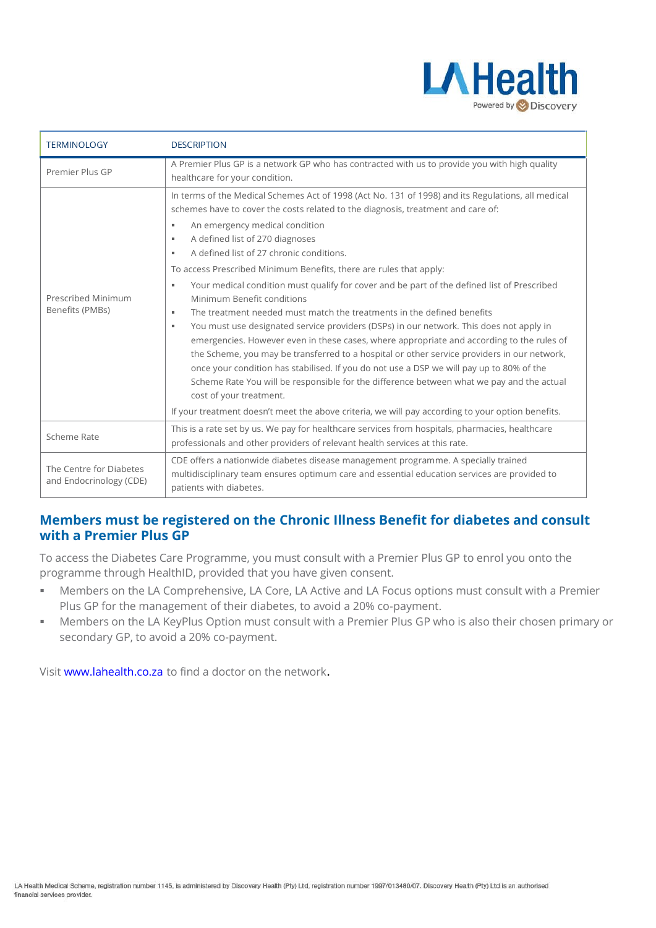

| <b>TERMINOLOGY</b>                                 | <b>DESCRIPTION</b>                                                                                                                                                                                                                                                                                                                                                                                                                                                                                                                                                                                                                                                                                                                                                                                                                                                                                                                                                                                                                                                                                                                                                                                                                 |
|----------------------------------------------------|------------------------------------------------------------------------------------------------------------------------------------------------------------------------------------------------------------------------------------------------------------------------------------------------------------------------------------------------------------------------------------------------------------------------------------------------------------------------------------------------------------------------------------------------------------------------------------------------------------------------------------------------------------------------------------------------------------------------------------------------------------------------------------------------------------------------------------------------------------------------------------------------------------------------------------------------------------------------------------------------------------------------------------------------------------------------------------------------------------------------------------------------------------------------------------------------------------------------------------|
| Premier Plus GP                                    | A Premier Plus GP is a network GP who has contracted with us to provide you with high quality<br>healthcare for your condition.                                                                                                                                                                                                                                                                                                                                                                                                                                                                                                                                                                                                                                                                                                                                                                                                                                                                                                                                                                                                                                                                                                    |
| Prescribed Minimum<br>Benefits (PMBs)              | In terms of the Medical Schemes Act of 1998 (Act No. 131 of 1998) and its Regulations, all medical<br>schemes have to cover the costs related to the diagnosis, treatment and care of:<br>An emergency medical condition<br>٠<br>A defined list of 270 diagnoses<br>٠<br>A defined list of 27 chronic conditions.<br>٠<br>To access Prescribed Minimum Benefits, there are rules that apply:<br>Your medical condition must qualify for cover and be part of the defined list of Prescribed<br>٠<br>Minimum Benefit conditions<br>The treatment needed must match the treatments in the defined benefits<br>٠<br>You must use designated service providers (DSPs) in our network. This does not apply in<br>٠<br>emergencies. However even in these cases, where appropriate and according to the rules of<br>the Scheme, you may be transferred to a hospital or other service providers in our network,<br>once your condition has stabilised. If you do not use a DSP we will pay up to 80% of the<br>Scheme Rate You will be responsible for the difference between what we pay and the actual<br>cost of your treatment.<br>If your treatment doesn't meet the above criteria, we will pay according to your option benefits. |
| Scheme Rate                                        | This is a rate set by us. We pay for healthcare services from hospitals, pharmacies, healthcare<br>professionals and other providers of relevant health services at this rate.                                                                                                                                                                                                                                                                                                                                                                                                                                                                                                                                                                                                                                                                                                                                                                                                                                                                                                                                                                                                                                                     |
| The Centre for Diabetes<br>and Endocrinology (CDE) | CDE offers a nationwide diabetes disease management programme. A specially trained<br>multidisciplinary team ensures optimum care and essential education services are provided to<br>patients with diabetes.                                                                                                                                                                                                                                                                                                                                                                                                                                                                                                                                                                                                                                                                                                                                                                                                                                                                                                                                                                                                                      |

## **Members must be registered on the Chronic Illness Benefit for diabetes and consult with a Premier Plus GP**

To access the Diabetes Care Programme, you must consult with a Premier Plus GP to enrol you onto the programme through HealthID, provided that you have given consent.

- Members on the LA Comprehensive, LA Core, LA Active and LA Focus options must consult with a Premier Plus GP for the management of their diabetes, to avoid a 20% co-payment.
- Members on the LA KeyPlus Option must consult with a Premier Plus GP who is also their chosen primary or secondary GP, to avoid a 20% co-payment.

Visit [www.lahealth.co.za](http://www.lahealth.co.za/) to find a doctor on the network.